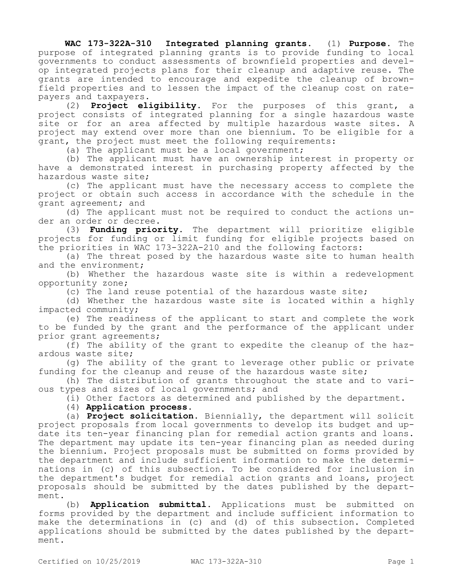**WAC 173-322A-310 Integrated planning grants.** (1) **Purpose.** The purpose of integrated planning grants is to provide funding to local governments to conduct assessments of brownfield properties and develop integrated projects plans for their cleanup and adaptive reuse. The grants are intended to encourage and expedite the cleanup of brownfield properties and to lessen the impact of the cleanup cost on ratepayers and taxpayers.

(2) **Project eligibility.** For the purposes of this grant, a project consists of integrated planning for a single hazardous waste site or for an area affected by multiple hazardous waste sites. A project may extend over more than one biennium. To be eligible for a grant, the project must meet the following requirements:

(a) The applicant must be a local government;

(b) The applicant must have an ownership interest in property or have a demonstrated interest in purchasing property affected by the hazardous waste site;

(c) The applicant must have the necessary access to complete the project or obtain such access in accordance with the schedule in the grant agreement; and

(d) The applicant must not be required to conduct the actions under an order or decree.

(3) **Funding priority.** The department will prioritize eligible projects for funding or limit funding for eligible projects based on the priorities in WAC 173-322A-210 and the following factors:

(a) The threat posed by the hazardous waste site to human health and the environment;

(b) Whether the hazardous waste site is within a redevelopment opportunity zone;

(c) The land reuse potential of the hazardous waste site;

(d) Whether the hazardous waste site is located within a highly impacted community;

(e) The readiness of the applicant to start and complete the work to be funded by the grant and the performance of the applicant under prior grant agreements;

(f) The ability of the grant to expedite the cleanup of the hazardous waste site;

(g) The ability of the grant to leverage other public or private funding for the cleanup and reuse of the hazardous waste site;

(h) The distribution of grants throughout the state and to various types and sizes of local governments; and

(i) Other factors as determined and published by the department.

(4) **Application process.**

(a) **Project solicitation.** Biennially, the department will solicit project proposals from local governments to develop its budget and update its ten-year financing plan for remedial action grants and loans. The department may update its ten-year financing plan as needed during the biennium. Project proposals must be submitted on forms provided by the department and include sufficient information to make the determinations in (c) of this subsection. To be considered for inclusion in the department's budget for remedial action grants and loans, project proposals should be submitted by the dates published by the department.

(b) **Application submittal.** Applications must be submitted on forms provided by the department and include sufficient information to make the determinations in (c) and (d) of this subsection. Completed applications should be submitted by the dates published by the department.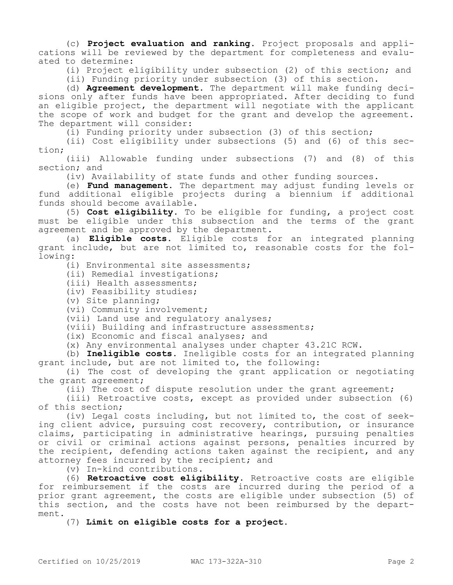(c) **Project evaluation and ranking.** Project proposals and applications will be reviewed by the department for completeness and evaluated to determine:

(i) Project eligibility under subsection (2) of this section; and

(ii) Funding priority under subsection (3) of this section.

(d) **Agreement development.** The department will make funding decisions only after funds have been appropriated. After deciding to fund an eligible project, the department will negotiate with the applicant the scope of work and budget for the grant and develop the agreement. The department will consider:

(i) Funding priority under subsection (3) of this section;

(ii) Cost eligibility under subsections (5) and (6) of this section;

(iii) Allowable funding under subsections (7) and (8) of this section; and

(iv) Availability of state funds and other funding sources.

(e) **Fund management.** The department may adjust funding levels or fund additional eligible projects during a biennium if additional funds should become available.

(5) **Cost eligibility.** To be eligible for funding, a project cost must be eligible under this subsection and the terms of the grant agreement and be approved by the department.

(a) **Eligible costs.** Eligible costs for an integrated planning grant include, but are not limited to, reasonable costs for the following:

(i) Environmental site assessments;

(ii) Remedial investigations;

(iii) Health assessments;

(iv) Feasibility studies;

(v) Site planning;

(vi) Community involvement;

(vii) Land use and regulatory analyses;

(viii) Building and infrastructure assessments;

(ix) Economic and fiscal analyses; and

(x) Any environmental analyses under chapter 43.21C RCW.

(b) **Ineligible costs.** Ineligible costs for an integrated planning grant include, but are not limited to, the following:

(i) The cost of developing the grant application or negotiating the grant agreement;

(ii) The cost of dispute resolution under the grant agreement;

(iii) Retroactive costs, except as provided under subsection (6) of this section;

(iv) Legal costs including, but not limited to, the cost of seeking client advice, pursuing cost recovery, contribution, or insurance claims, participating in administrative hearings, pursuing penalties or civil or criminal actions against persons, penalties incurred by the recipient, defending actions taken against the recipient, and any attorney fees incurred by the recipient; and

(v) In-kind contributions.

(6) **Retroactive cost eligibility.** Retroactive costs are eligible for reimbursement if the costs are incurred during the period of a prior grant agreement, the costs are eligible under subsection (5) of this section, and the costs have not been reimbursed by the department.

(7) **Limit on eligible costs for a project.**